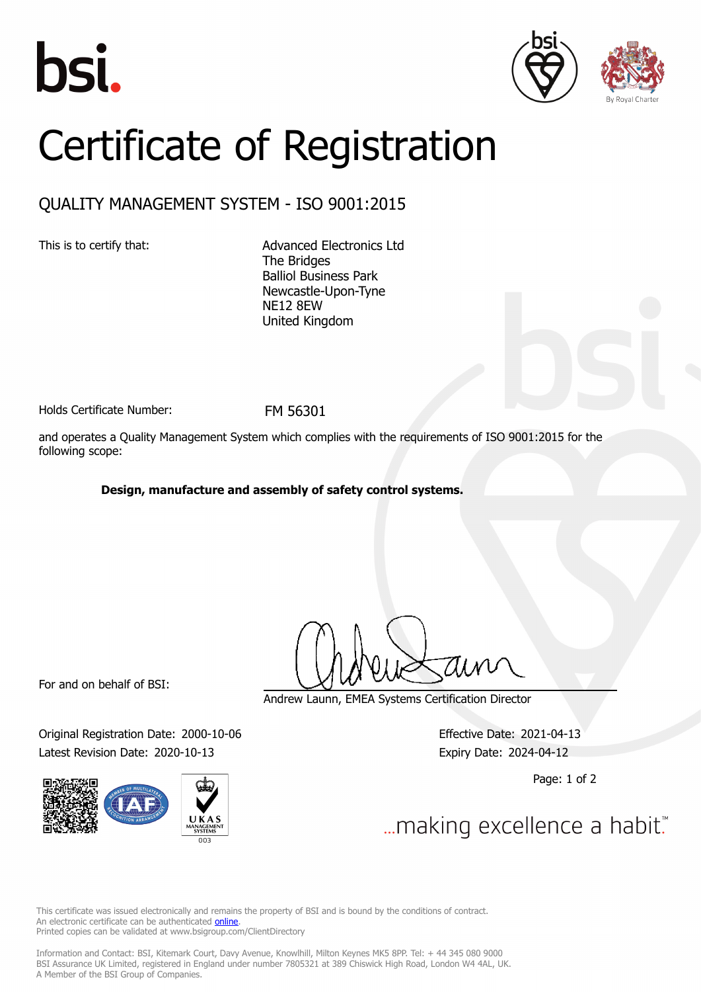





## Certificate of Registration

## QUALITY MANAGEMENT SYSTEM - ISO 9001:2015

This is to certify that: <br>
Advanced Electronics Ltd The Bridges Balliol Business Park Newcastle-Upon-Tyne NE12 8EW United Kingdom

Holds Certificate Number: FM 56301

and operates a Quality Management System which complies with the requirements of ISO 9001:2015 for the following scope:

## **Design, manufacture and assembly of safety control systems.**

For and on behalf of BSI:

Original Registration Date: 2000-10-06 Effective Date: 2021-04-13 Latest Revision Date: 2020-10-13 Expiry Date: 2024-04-12



Andrew Launn, EMEA Systems Certification Director

Page: 1 of 2

... making excellence a habit."

This certificate was issued electronically and remains the property of BSI and is bound by the conditions of contract. An electronic certificate can be authenticated **[online](https://pgplus.bsigroup.com/CertificateValidation/CertificateValidator.aspx?CertificateNumber=FM+56301&ReIssueDate=13%2f10%2f2020&Template=uk)**. Printed copies can be validated at www.bsigroup.com/ClientDirectory

Information and Contact: BSI, Kitemark Court, Davy Avenue, Knowlhill, Milton Keynes MK5 8PP. Tel: + 44 345 080 9000 BSI Assurance UK Limited, registered in England under number 7805321 at 389 Chiswick High Road, London W4 4AL, UK. A Member of the BSI Group of Companies.